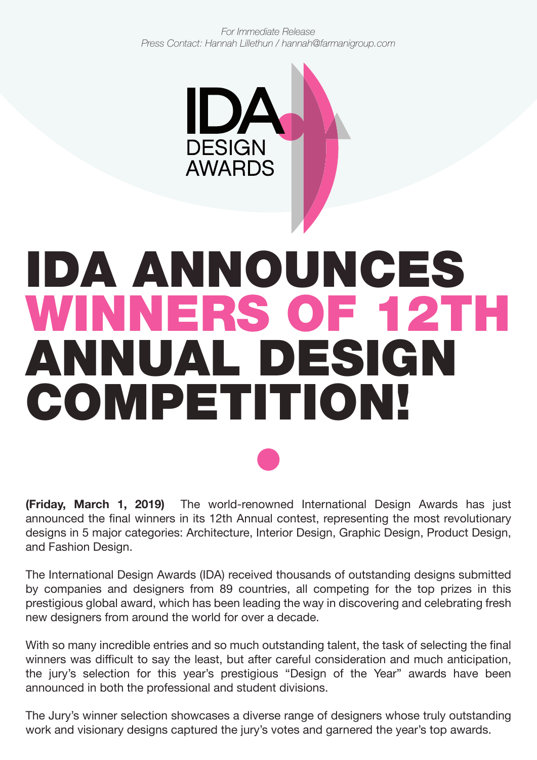*For Immediate Release Press Contact: Hannah Lillethun / hannah@farmanigroup.com*



# IDA ANNOUNCES WINNERS OF 12TH ANNUAL DESIGN COMPETITION!

**(Friday, March 1, 2019)** The world-renowned International Design Awards has just announced the final winners in its 12th Annual contest, representing the most revolutionary designs in 5 major categories: Architecture, Interior Design, Graphic Design, Product Design, and Fashion Design.

The International Design Awards (IDA) received thousands of outstanding designs submitted by companies and designers from 89 countries, all competing for the top prizes in this prestigious global award, which has been leading the way in discovering and celebrating fresh new designers from around the world for over a decade.

With so many incredible entries and so much outstanding talent, the task of selecting the final winners was difficult to say the least, but after careful consideration and much anticipation, the jury's selection for this year's prestigious "Design of the Year" awards have been announced in both the professional and student divisions.

The Jury's winner selection showcases a diverse range of designers whose truly outstanding work and visionary designs captured the jury's votes and garnered the year's top awards.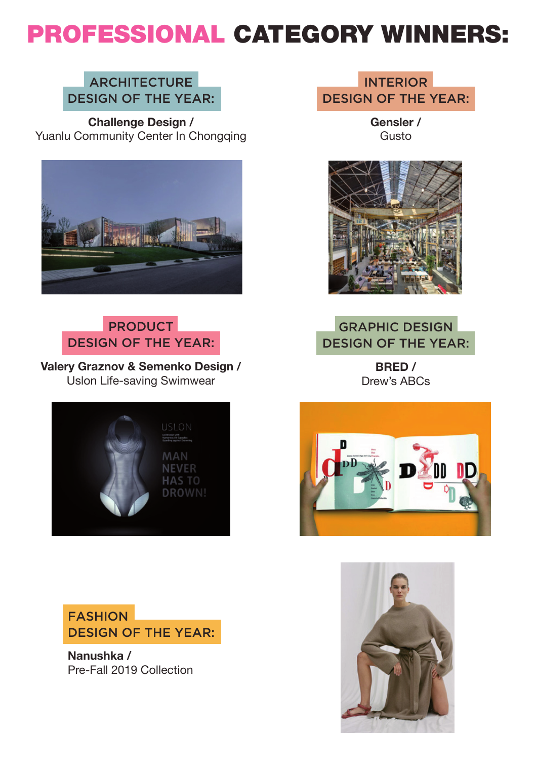## PROFESSIONAL CATEGORY WINNERS:

#### **ARCHITECTURE** DESIGN OF THE YEAR:

**Challenge Design /** [Yuanlu Community Center In Chongqing](https://idesignawards.com/winners/zoom.php?eid=9-20061-18)



#### PRODUCT DESIGN OF THE YEAR:

Valery Graznov & Semenko Design / Uslon Life-saving Swimwear





**Nanushka /** [Pre-Fall 2019 Collection](https://idesignawards.com/winners/zoom.php?eid=9-22351-19)

INTERIOR DESIGN OF THE YEAR:

> **[Gensler /](https://idesignawards.com/winners/zoom.php?eid=9-21599-18&count=0&mode=)** Gusto



#### GRAPHIC DESIGN DESIGN OF THE YEAR:

**BRED /** [Drew's ABCs](https://idesignawards.com/winners/zoom.php?eid=9-20373-18)